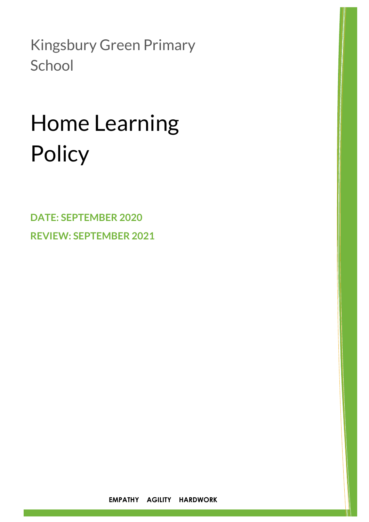Kingsbury Green Primary **School** 

# Home Learning **Policy**

**DATE: SEPTEMBER 2020 REVIEW: SEPTEMBER 2021**

**EMPATHY AGILITY HARDWORK**

 $\ddot{\phantom{a}}$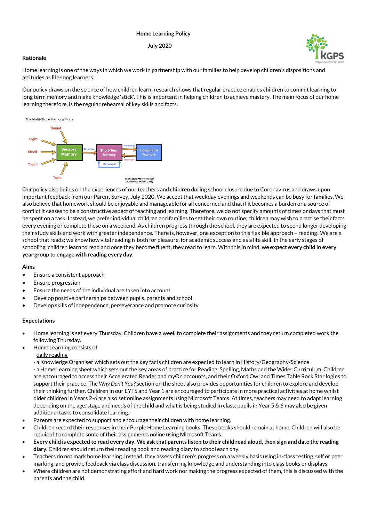## **Home Learning Policy**

### **July 2020**

# **Rationale**

Home learning is one of the ways in which we work in partnership with our families to help develop children's dispositions and attitudes as life-long learners.

Our policy draws on the science of how children learn; research shows that regular practice enables children to commit learning to long term memory and make knowledge 'stick'. This is important in helping children to achieve mastery. The main focus of our home learning therefore, is the regular rehearsal of key skills and facts.



Our policy also builds on the experiences of our teachers and children during school closure due to Coronavirus and draws upon important feedback from our Parent Survey, July 2020. We accept that weekday evenings and weekends can be busy for families. We also believe that homework should be enjoyable and manageable for all concerned and that if it becomes a burden or a source of conflict it ceases to be a constructive aspect of teaching and learning. Therefore, we do not specify amounts of times or days that must be spent on a task. Instead, we prefer individual children and families to set their own routine; children may wish to practise their facts every evening or complete these on a weekend. As children progress through the school, they are expected to spend longer developing their study skills and work with greater independence. There is, however, one exception to this flexible approach – reading! We are a school that reads; we know how vital reading is both for pleasure, for academic success and as a life skill. In the early stages of schooling, children learn to read and once they become fluent, they read to learn. With this in mind, **we expect every child in every year group to engage with reading every day.**

### **Aims**

- Ensure a consistent approach
- Ensure progression
- Ensure the needs of the individual are taken into account
- Develop positive partnerships between pupils, parents and school
- Develop skills of independence, perseverance and promote curiosity

# **Expectations**

- Home learning is set every Thursday. Children have a week to complete their assignments and they return completed work the following Thursday.
- Home Learning consists of
	- daily reading
	- a Knowledge Organiser which sets out the key facts children are expected to learn in History/Geography/Science - a Home Learning sheet which sets out the key areas of practice for Reading, Spelling, Maths and the Wider Curriculum. Children are encouraged to access their Accelerated Reader and myOn accounts, and their Oxford Owl and Times Table Rock Star logins to support their practice. The *Why Don't You?* section on the sheet also provides opportunities for children to explore and develop their thinking further. Children in our EYFS and Year 1 are encouraged to participate in more practical activities at home whilst older children in Years 2-6 are also set online assignments using Microsoft Teams. At times, teachers may need to adapt learning depending on the age, stage and needs of the child and what is being studied in class; pupils in Year 5 & 6 may also be given additional tasks to consolidate learning.
- Parents are expected to support and encourage their children with home learning.
- Children record their responses in their Purple Home Learning books. These books should remain at home. Children will also be required to complete some of their assignments online using Microsoft Teams.
- **Every child is expected to read every day. We ask that parents listen to their child read aloud, then sign and date the reading diary.** Children should return their reading book and reading diary to school each day.
- Teachers do not mark home learning. Instead, they assess children's progress on a weekly basis using in-class testing, self or peer marking, and provide feedback via class discussion, transferring knowledge and understanding into class books or displays.
- Where children are not demonstrating effort and hard work nor making the progress expected of them, this is discussed with the parents and the child.